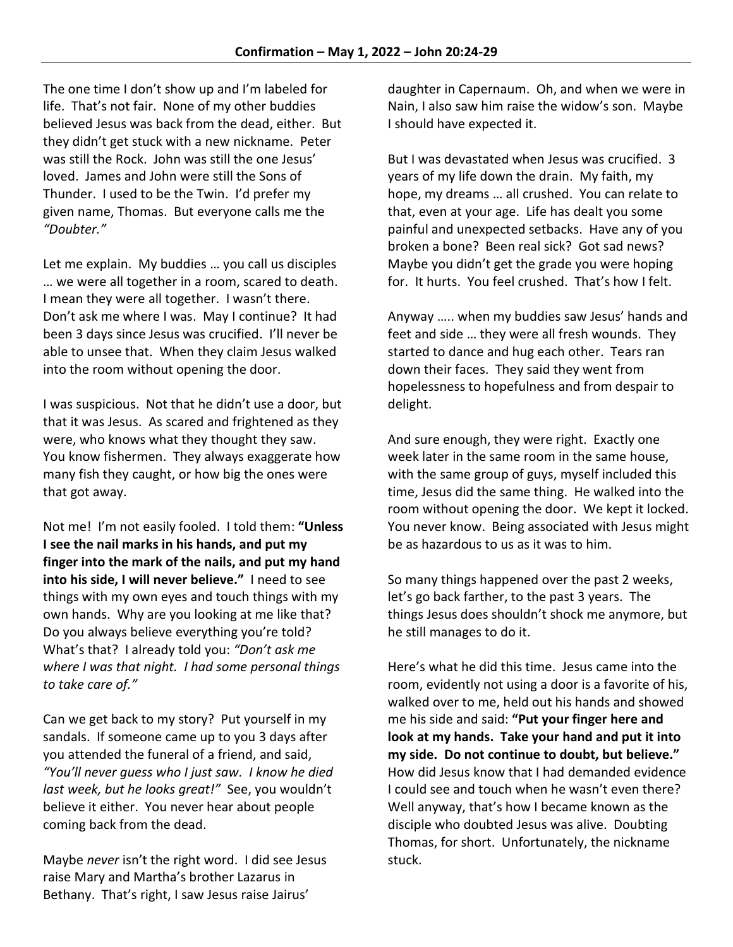The one time I don't show up and I'm labeled for life. That's not fair. None of my other buddies believed Jesus was back from the dead, either. But they didn't get stuck with a new nickname. Peter was still the Rock. John was still the one Jesus' loved. James and John were still the Sons of Thunder. I used to be the Twin. I'd prefer my given name, Thomas. But everyone calls me the *"Doubter."*

Let me explain. My buddies … you call us disciples … we were all together in a room, scared to death. I mean they were all together. I wasn't there. Don't ask me where I was. May I continue? It had been 3 days since Jesus was crucified. I'll never be able to unsee that. When they claim Jesus walked into the room without opening the door.

I was suspicious. Not that he didn't use a door, but that it was Jesus. As scared and frightened as they were, who knows what they thought they saw. You know fishermen. They always exaggerate how many fish they caught, or how big the ones were that got away.

Not me! I'm not easily fooled. I told them: **"Unless I see the nail marks in his hands, and put my finger into the mark of the nails, and put my hand into his side, I will never believe."** I need to see things with my own eyes and touch things with my own hands. Why are you looking at me like that? Do you always believe everything you're told? What's that? I already told you: *"Don't ask me where I was that night. I had some personal things to take care of."*

Can we get back to my story? Put yourself in my sandals. If someone came up to you 3 days after you attended the funeral of a friend, and said, *"You'll never guess who I just saw. I know he died last week, but he looks great!"* See, you wouldn't believe it either. You never hear about people coming back from the dead.

Maybe *never* isn't the right word. I did see Jesus raise Mary and Martha's brother Lazarus in Bethany. That's right, I saw Jesus raise Jairus'

daughter in Capernaum. Oh, and when we were in Nain, I also saw him raise the widow's son. Maybe I should have expected it.

But I was devastated when Jesus was crucified. 3 years of my life down the drain. My faith, my hope, my dreams … all crushed. You can relate to that, even at your age. Life has dealt you some painful and unexpected setbacks. Have any of you broken a bone? Been real sick? Got sad news? Maybe you didn't get the grade you were hoping for. It hurts. You feel crushed. That's how I felt.

Anyway ….. when my buddies saw Jesus' hands and feet and side … they were all fresh wounds. They started to dance and hug each other. Tears ran down their faces. They said they went from hopelessness to hopefulness and from despair to delight.

And sure enough, they were right. Exactly one week later in the same room in the same house, with the same group of guys, myself included this time, Jesus did the same thing. He walked into the room without opening the door. We kept it locked. You never know. Being associated with Jesus might be as hazardous to us as it was to him.

So many things happened over the past 2 weeks, let's go back farther, to the past 3 years. The things Jesus does shouldn't shock me anymore, but he still manages to do it.

Here's what he did this time. Jesus came into the room, evidently not using a door is a favorite of his, walked over to me, held out his hands and showed me his side and said: **"Put your finger here and look at my hands. Take your hand and put it into my side. Do not continue to doubt, but believe."**  How did Jesus know that I had demanded evidence I could see and touch when he wasn't even there? Well anyway, that's how I became known as the disciple who doubted Jesus was alive. Doubting Thomas, for short. Unfortunately, the nickname stuck.